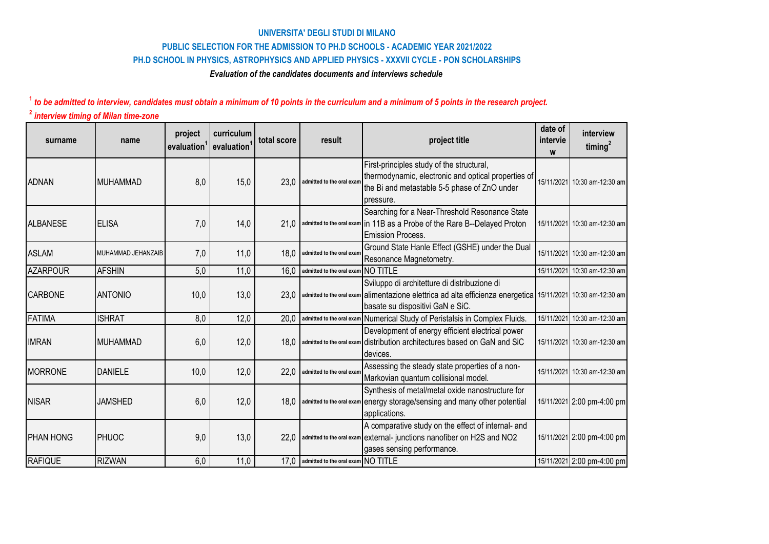## **PUBLIC SELECTION FOR THE ADMISSION TO PH.D SCHOOLS - ACADEMIC YEAR 2021/2022 UNIVERSITA' DEGLI STUDI DI MILANO PH.D SCHOOL IN PHYSICS, ASTROPHYSICS AND APPLIED PHYSICS - XXXVII CYCLE - PON SCHOLARSHIPS**

## *Evaluation of the candidates documents and interviews schedule*

## **<sup>1</sup>** *to be admitted to interview, candidates must obtain a minimum of 10 points in the curriculum and a minimum of 5 points in the research project.* **<sup>2</sup>** *interview timing of Milan time-zone*

| surname          | name               | project<br>evaluation | curriculum<br>evaluation | total score | result                             | project title                                                                                                                                                       | date of<br>intervie<br>W | interview<br>timing $^2$     |
|------------------|--------------------|-----------------------|--------------------------|-------------|------------------------------------|---------------------------------------------------------------------------------------------------------------------------------------------------------------------|--------------------------|------------------------------|
| <b>ADNAN</b>     | <b>MUHAMMAD</b>    | 8,0                   | 15,0                     | 23,0        | admitted to the oral exan          | First-principles study of the structural,<br>thermodynamic, electronic and optical properties of<br>the Bi and metastable 5-5 phase of ZnO under<br>pressure.       |                          | 15/11/2021 10:30 am-12:30 am |
| <b>ALBANESE</b>  | <b>ELISA</b>       | 7,0                   | 14,0                     |             |                                    | Searching for a Near-Threshold Resonance State<br>21,0 admitted to the oral exam in 11B as a Probe of the Rare B--Delayed Proton<br><b>Emission Process.</b>        |                          | 15/11/2021 10:30 am-12:30 am |
| <b>ASLAM</b>     | MUHAMMAD JEHANZAIB | 7,0                   | 11,0                     | 18,0        | admitted to the oral exam          | Ground State Hanle Effect (GSHE) under the Dual<br>Resonance Magnetometry.                                                                                          |                          | 15/11/2021 10:30 am-12:30 am |
| <b>AZARPOUR</b>  | <b>AFSHIN</b>      | 5,0                   | 11,0                     | 16,0        | admitted to the oral exam NO TITLE |                                                                                                                                                                     |                          | 15/11/2021 10:30 am-12:30 am |
| <b>CARBONE</b>   | <b>ANTONIO</b>     | 10,0                  | 13,0                     | 23,0        |                                    | Sviluppo di architetture di distribuzione di<br>admitted to the oral exam alimentazione elettrica ad alta efficienza energetica<br>basate su dispositivi GaN e SiC. |                          | 15/11/2021 10:30 am-12:30 am |
| <b>FATIMA</b>    | <b>ISHRAT</b>      | 8,0                   | 12,0                     | 20,0        |                                    | admitted to the oral exam Numerical Study of Peristalsis in Complex Fluids.                                                                                         |                          | 15/11/2021 10:30 am-12:30 am |
| <b>IMRAN</b>     | <b>MUHAMMAD</b>    | 6,0                   | 12,0                     |             |                                    | Development of energy efficient electrical power<br>18.0 admitted to the oral exam distribution architectures based on GaN and SiC<br>devices.                      |                          | 15/11/2021 10:30 am-12:30 am |
| <b>MORRONE</b>   | <b>DANIELE</b>     | 10,0                  | 12,0                     | 22,0        | admitted to the oral exam          | Assessing the steady state properties of a non-<br>Markovian quantum collisional model.                                                                             |                          | 15/11/2021 10:30 am-12:30 am |
| <b>NISAR</b>     | <b>JAMSHED</b>     | 6,0                   | 12,0                     |             |                                    | Synthesis of metal/metal oxide nanostructure for<br>18,0 admitted to the oral exam energy storage/sensing and many other potential<br>applications.                 |                          | 15/11/2021 2:00 pm-4:00 pm   |
| <b>PHAN HONG</b> | PHUOC              | 9,0                   | 13,0                     | 22,0        |                                    | A comparative study on the effect of internal- and<br>admitted to the oral exam external- junctions nanofiber on H2S and NO2<br>gases sensing performance.          |                          | 15/11/2021 2:00 pm-4:00 pm   |
| <b>RAFIQUE</b>   | <b>RIZWAN</b>      | 6,0                   | 11,0                     | 17,0        | admitted to the oral exam NO TITLE |                                                                                                                                                                     |                          | 15/11/2021 2:00 pm-4:00 pm   |